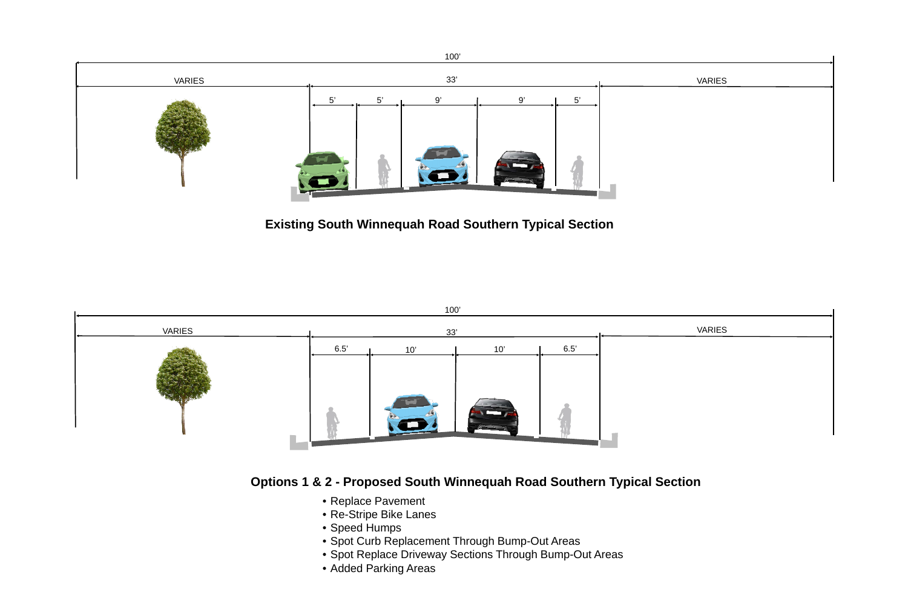- Replace Pavement
- Re-Stripe Bike Lanes
- Speed Humps
- Spot Curb Replacement Through Bump-Out Areas
- Spot Replace Driveway Sections Through Bump-Out Areas
- Added Parking Areas

### **Options 1 & 2 - Proposed South Winnequah Road Southern Typical Section**



|        |    |    | 100'          |    |    |  |
|--------|----|----|---------------|----|----|--|
| VARIES |    |    | <b>VARIES</b> |    |    |  |
|        | 5' | 5' | 9'            | 9' | 5' |  |
|        |    |    |               |    |    |  |



**Existing South Winnequah Road Southern Typical Section**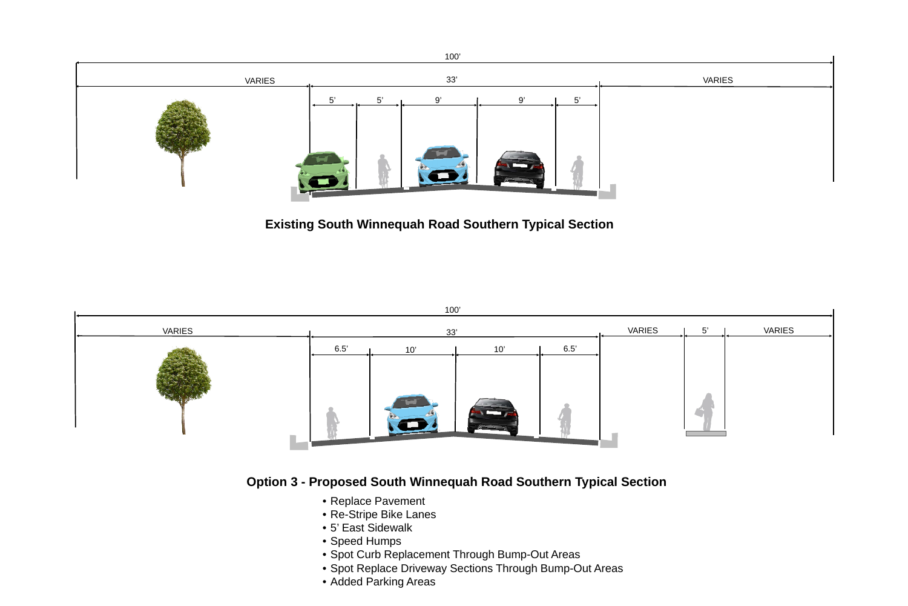- Replace Pavement
- Re-Stripe Bike Lanes
- 5' East Sidewalk
- Speed Humps
- Spot Curb Replacement Through Bump-Out Areas
- Spot Replace Driveway Sections Through Bump-Out Areas
- Added Parking Areas

| <b>/ARIES</b> | 5' | <b>VARIES</b> |  |  |  |  |
|---------------|----|---------------|--|--|--|--|
|               |    |               |  |  |  |  |
|               |    |               |  |  |  |  |
|               |    |               |  |  |  |  |
|               |    |               |  |  |  |  |
|               |    |               |  |  |  |  |
|               |    |               |  |  |  |  |

### **Option 3 - Proposed South Winnequah Road Southern Typical Section**



|        |    |               | 100' |                     |              |  |
|--------|----|---------------|------|---------------------|--------------|--|
| VARIES |    | <b>VARIES</b> |      |                     |              |  |
|        | 5' | 5'            | 9'   | 9'                  | $5^{\prime}$ |  |
|        |    |               |      |                     |              |  |
|        |    |               |      |                     |              |  |
|        |    |               | W    | <b>Participants</b> |              |  |
|        |    |               |      |                     |              |  |
|        |    |               |      |                     |              |  |



**Existing South Winnequah Road Southern Typical Section**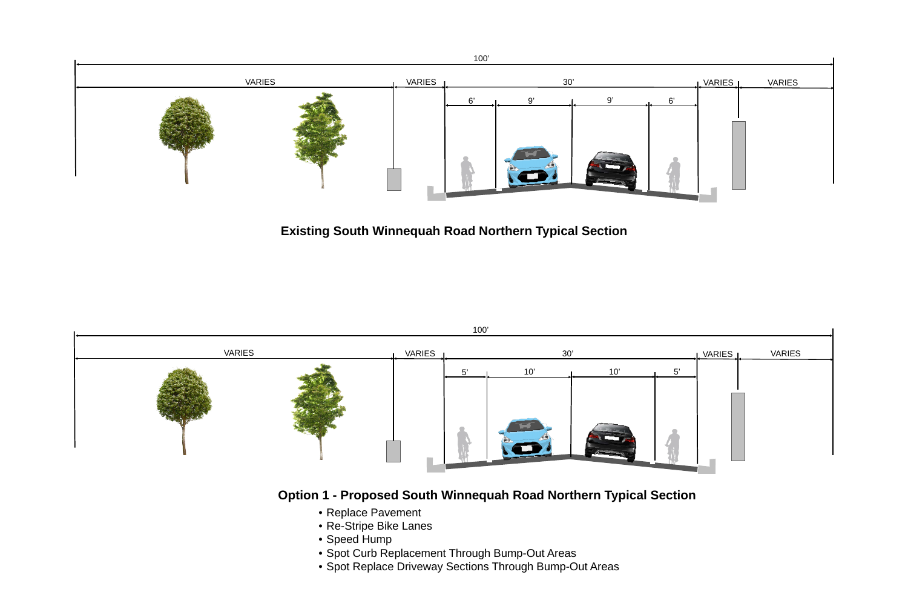- Replace Pavement
- Re-Stripe Bike Lanes
- Speed Hump
- Spot Curb Replacement Through Bump-Out Areas
- Spot Replace Driveway Sections Through Bump-Out Areas

### **Option 1 - Proposed South Winnequah Road Northern Typical Section**





**Existing South Winnequah Road Northern Typical Section**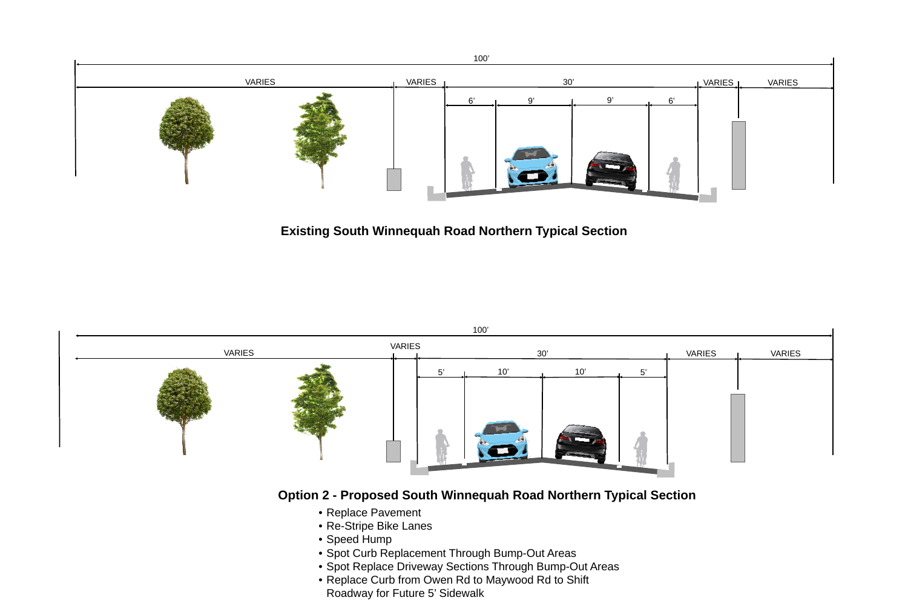- Replace Pavement
- Re-Stripe Bike Lanes
- Speed Hump
- Spot Curb Replacement Through Bump-Out Areas
- Spot Replace Driveway Sections Through Bump-Out Areas
- Replace Curb from Owen Rd to Maywood Rd to Shift Roadway for Future 5' Sidewalk

# **Option 2 - Proposed South Winnequah Road Northern Typical Section**

![](_page_3_Figure_4.jpeg)

![](_page_3_Picture_0.jpeg)

## **Existing South Winnequah Road Northern Typical Section**